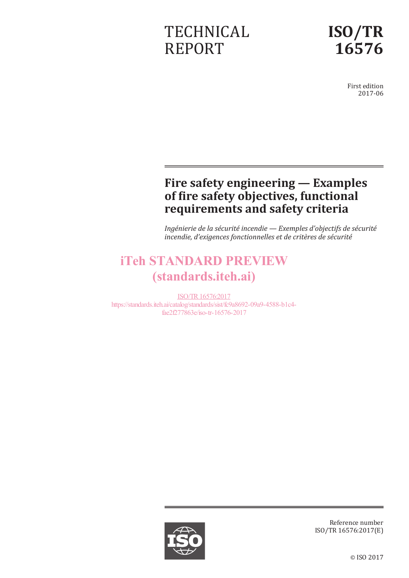# **TECHNICAL** REPORT



First edition 2017-06

# **Fire safety engineering — Examples of fire safety objectives, functional requirements and safety criteria**

*Ingénierie de la sécurité incendie — Exemples d'objectifs de sécurité incendie, d'exigences fonctionnelles et de critères de sécurité*

# iTeh STANDARD PREVIEW (standards.iteh.ai)

ISO/TR16576:2017 https://standards.iteh.ai/catalog/standards/sist/fc9a8692-09a9-4588-b1c4 fae2f277863e/iso-tr-16576-2017



Reference number ISO/TR 16576:2017(E)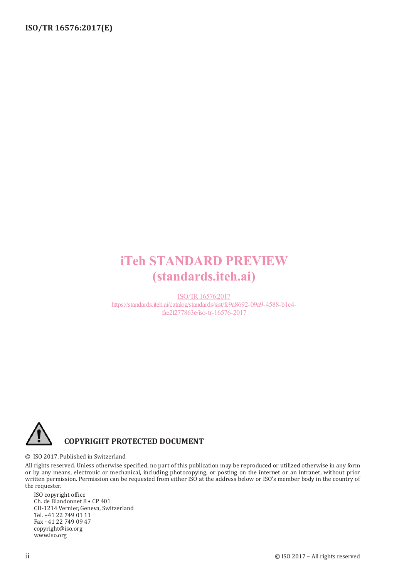# iTeh STANDARD PREVIEW (standards.iteh.ai)

ISO/TR16576:2017 https://standards.iteh.ai/catalog/standards/sist/fc9a8692-09a9-4588-b1c4 fae2f277863e/iso-tr-16576-2017



#### © ISO 2017, Published in Switzerland

All rights reserved. Unless otherwise specified, no part of this publication may be reproduced or utilized otherwise in any form or by any means, electronic or mechanical, including photocopying, or posting on the internet or an intranet, without prior written permission. Permission can be requested from either ISO at the address below or ISO's member body in the country of the requester.

ISO copyright office Ch. de Blandonnet 8 • CP 401 CH-1214 Vernier, Geneva, Switzerland Tel. +41 22 749 01 11 Fax +41 22 749 09 47 copyright@iso.org www.iso.org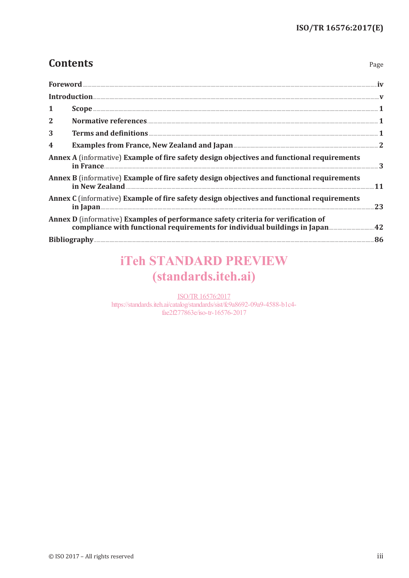Page

# **Contents**

|                | Foreword                                                                                   |     |
|----------------|--------------------------------------------------------------------------------------------|-----|
|                |                                                                                            |     |
| 1              |                                                                                            |     |
| $\overline{2}$ |                                                                                            |     |
| 3              |                                                                                            |     |
| 4              |                                                                                            |     |
|                | Annex A (informative) Example of fire safety design objectives and functional requirements |     |
|                | Annex B (informative) Example of fire safety design objectives and functional requirements | 11  |
|                | Annex C (informative) Example of fire safety design objectives and functional requirements | 23  |
|                | Annex D (informative) Examples of performance safety criteria for verification of          |     |
|                |                                                                                            | .86 |

# **iTeh STANDARD PREVIEW** (standards.iteh.ai)

**ISO/TR 16576:2017** https://standards.iteh.ai/catalog/standards/sist/fc9a8692-09a9-4588-b1c4fae2f277863e/iso-tr-16576-2017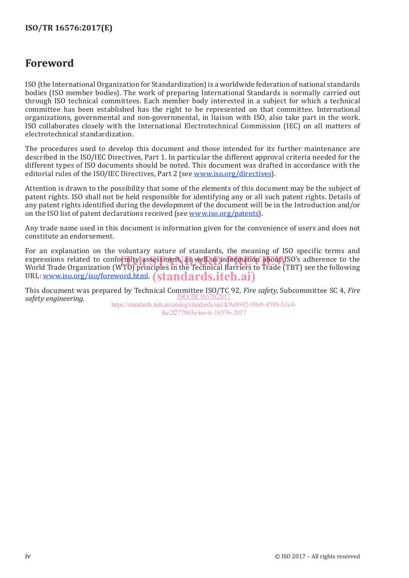# **Foreword**

ISO (the International Organization for Standardization) is a worldwide federation of national standards bodies (ISO member bodies). The work of preparing International Standards is normally carried out through ISO technical committees. Each member body interested in a subject for which a technical committee has been established has the right to be represented on that committee. International organizations, governmental and non-governmental, in liaison with ISO, also take part in the work. ISO collaborates closely with the International Electrotechnical Commission (IEC) on all matters of electrotechnical standardization.

The procedures used to develop this document and those intended for its further maintenance are described in the ISO/IEC Directives, Part 1. In particular the different approval criteria needed for the different types of ISO documents should be noted. This document was drafted in accordance with the editorial rules of the ISO/IEC Directives, Part 2 (see www.iso.org/directives).

Attention is drawn to the possibility that some of the elements of this document may be the subject of patent rights. ISO shall not be held responsible for identifying any or all such patent rights. Details of any patent rights identified during the development of the document will be in the Introduction and/or on the ISO list of patent declarations received (see www.iso.org/patents).

Any trade name used in this document is information given for the convenience of users and does not constitute an endorsement.

For an explanation on the voluntary nature of standards, the meaning of ISO specific terms and expressions related to conformity assessment, as well as information about ISO's adherence to the<br>World Trade Organization (WTO) principles in the Technical Barriers to Trade (TBT) see the following World Trade Organization (WTO) principles in the Technical Barriers to Trade (TBT) see the following URL: <u>www.iso.org/iso/foreword.html</u>. (standards.iteh.ai)

This document was prepared by Technical Committee ISO/TC 92, *Fire safety*, Subcommittee SC 4, *Fire safety engineering*. ISO/TR16576:2017

https://standards.iteh.ai/catalog/standards/sist/fc9a8692-09a9-4588-b1c4 fae2f277863e/iso-tr-16576-2017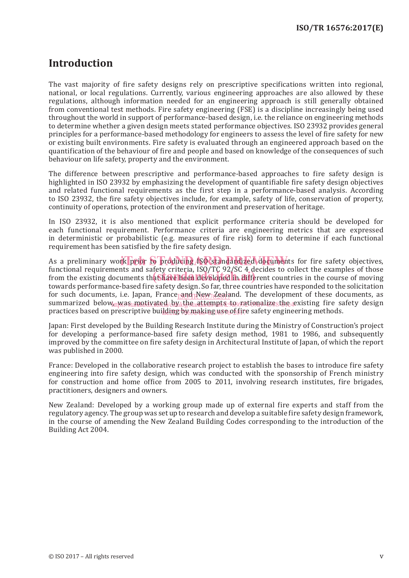# **Introduction**

The vast majority of fire safety designs rely on prescriptive specifications written into regional, national, or local regulations. Currently, various engineering approaches are also allowed by these regulations, although information needed for an engineering approach is still generally obtained from conventional test methods. Fire safety engineering (FSE) is a discipline increasingly being used throughout the world in support of performance-based design, i.e. the reliance on engineering methods to determine whether a given design meets stated performance objectives. ISO 23932 provides general principles for a performance-based methodology for engineers to assess the level of fire safety for new or existing built environments. Fire safety is evaluated through an engineered approach based on the quantification of the behaviour of fire and people and based on knowledge of the consequences of such behaviour on life safety, property and the environment.

The difference between prescriptive and performance-based approaches to fire safety design is highlighted in ISO 23932 by emphasizing the development of quantifiable fire safety design objectives and related functional requirements as the first step in a performance-based analysis. According to ISO 23932, the fire safety objectives include, for example, safety of life, conservation of property, continuity of operations, protection of the environment and preservation of heritage.

In ISO 23932, it is also mentioned that explicit performance criteria should be developed for each functional requirement. Performance criteria are engineering metrics that are expressed in deterministic or probabilistic (e.g. measures of fire risk) form to determine if each functional requirement has been satisfied by the fire safety design.

As a preliminary work prior to producing ASO standardized documents for fire safety objectives, functional requirements and safety criteria, ISO/TC 92/SC 4 decides to collect the examples of those from the existing documents that have been developed in different countries in the course of moving from the existing documents that have been developed in different countries in the course of moving towards performance-based fire safety design. So far, three countries have responded to the solicitation for such documents, i.e. Japan, France <sub>30</sub>d New *Zeala*nd. The development of these documents, as summarized below<sub>att</sub>was<sub>ta</sub>motivated/dy<sub>d</sub>the attempts to crationalize the existing fire safety design practices based on prescriptive building by making use of fire safety engineering methods.

Japan: First developed by the Building Research Institute during the Ministry of Construction's project for developing a performance-based fire safety design method, 1981 to 1986, and subsequently improved by the committee on fire safety design in Architectural Institute of Japan, of which the report was published in 2000.

France: Developed in the collaborative research project to establish the bases to introduce fire safety engineering into fire safety design, which was conducted with the sponsorship of French ministry for construction and home office from 2005 to 2011, involving research institutes, fire brigades, practitioners, designers and owners.

New Zealand: Developed by a working group made up of external fire experts and staff from the regulatory agency. The group was set up to research and develop a suitable fire safety design framework, in the course of amending the New Zealand Building Codes corresponding to the introduction of the Building Act 2004.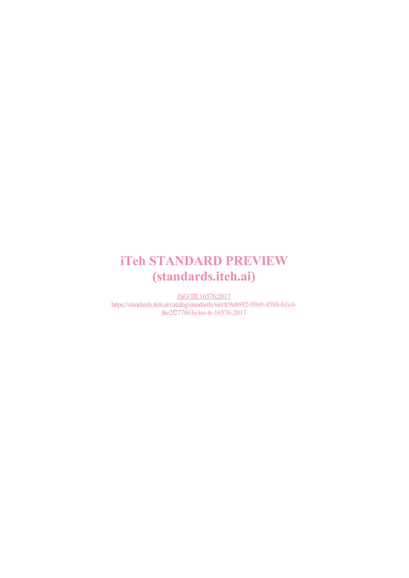# iTeh STANDARD PREVIEW (standards.iteh.ai)

ISO/TR16576:2017 https://standards.iteh.ai/catalog/standards/sist/fc9a8692-09a9-4588-b1c4 fae2f277863e/iso-tr-16576-2017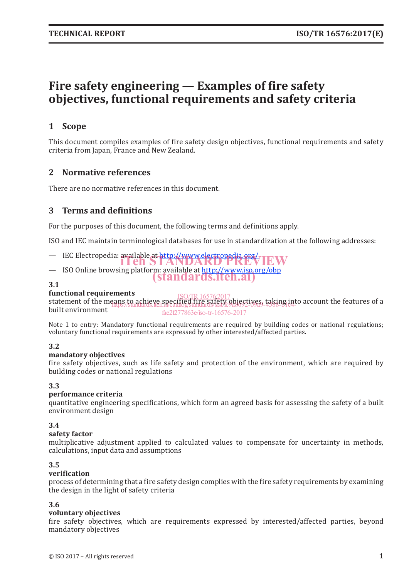# **Fire safety engineering — Examples of fire safety objectives, functional requirements and safety criteria**

# **1 Scope**

This document compiles examples of fire safety design objectives, functional requirements and safety criteria from Japan, France and New Zealand.

# **2 Normative references**

There are no normative references in this document.

# **3 Terms and definitions**

For the purposes of this document, the following terms and definitions apply.

ISO and IEC maintain terminological databases for use in standardization at the following addresses:

(standards.iteh.ai)

- IEC Electropedia: available at http://www.electropedia.org/<br>**ITEH STANDARD PREVIEW**
- ISO Online browsing platform: available at http://www.iso.org/obp

## **3.1**

# **functional requirements**

statement of the means to achieve specified fire safety objectives, taking into account the features of a built environment ISO/TR16576:2017 https://standards.iteh.ai/catalog/standards/sist/fc9a8692-09a9-4588-b1c4 fae2f277863e/iso-tr-16576-2017

Note 1 to entry: Mandatory functional requirements are required by building codes or national regulations; voluntary functional requirements are expressed by other interested/affected parties.

# **3.2**

# **mandatory objectives**

fire safety objectives, such as life safety and protection of the environment, which are required by building codes or national regulations

# **3.3**

#### **performance criteria**

quantitative engineering specifications, which form an agreed basis for assessing the safety of a built environment design

#### **3.4**

#### **safety factor**

multiplicative adjustment applied to calculated values to compensate for uncertainty in methods, calculations, input data and assumptions

## **3.5**

#### **verification**

process of determining that a fire safety design complies with the fire safety requirements by examining the design in the light of safety criteria

# **3.6**

#### **voluntary objectives**

fire safety objectives, which are requirements expressed by interested/affected parties, beyond mandatory objectives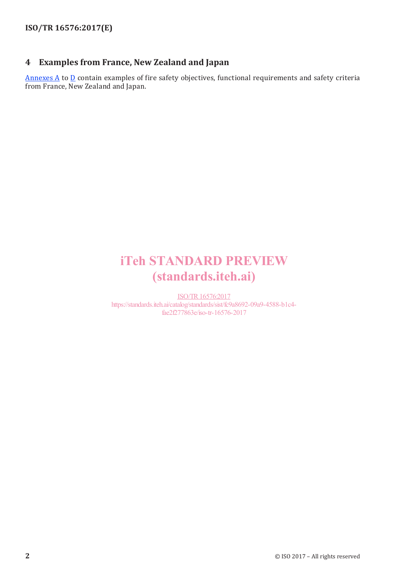# **4 Examples from France, New Zealand and Japan**

Annexes  $\overline{A}$  to  $\overline{D}$  contain examples of fire safety objectives, functional requirements and safety criteria from France, New Zealand and Japan.

# iTeh STANDARD PREVIEW (standards.iteh.ai)

ISO/TR16576:2017 https://standards.iteh.ai/catalog/standards/sist/fc9a8692-09a9-4588-b1c4 fae2f277863e/iso-tr-16576-2017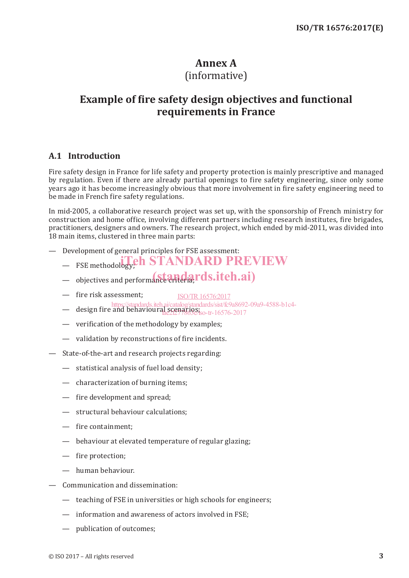# **Annex A** (informative)

# **Example of fire safety design objectives and functional requirements in France**

# **A.1 Introduction**

Fire safety design in France for life safety and property protection is mainly prescriptive and managed by regulation. Even if there are already partial openings to fire safety engineering, since only some years ago it has become increasingly obvious that more involvement in fire safety engineering need to be made in French fire safety regulations.

In mid-2005, a collaborative research project was set up, with the sponsorship of French ministry for construction and home office, involving different partners including research institutes, fire brigades, practitioners, designers and owners. The research project, which ended by mid-2011, was divided into 18 main items, clustered in three main parts:

- Development of general principles for FSE assessment:
	- FSE methodology; h STANDARD PREVIEW
	- objectives and performance criteria, rds.iteh.ai)
	- fire risk assessment; ISO/TR16576:2017
	- https://standards.iteh.ai/catalog/standards/sist/fc9a8692-09a9-4588-b1c4-
	- design fire and behavioural scenarios; fae2f277863e/iso-tr-16576-2017
	- verification of the methodology by examples;
	- validation by reconstructions of fire incidents.
- State-of-the-art and research projects regarding:
	- statistical analysis of fuel load density;
	- characterization of burning items;
	- fire development and spread;
	- structural behaviour calculations;
	- fire containment;
	- behaviour at elevated temperature of regular glazing;
	- fire protection;
	- human behaviour.
- Communication and dissemination:
	- teaching of FSE in universities or high schools for engineers;
	- information and awareness of actors involved in FSE;
	- publication of outcomes;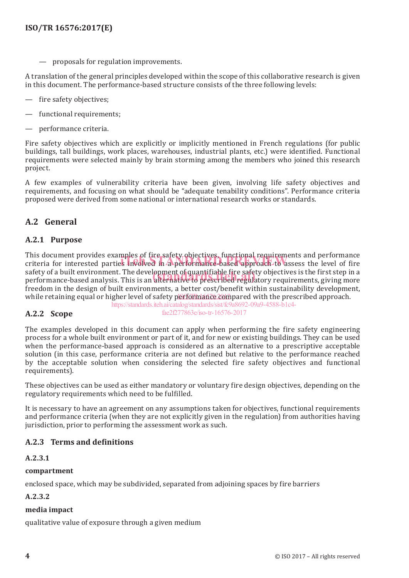— proposals for regulation improvements.

A translation of the general principles developed within the scope of this collaborative research is given in this document. The performance-based structure consists of the three following levels:

- fire safety objectives;
- functional requirements:
- performance criteria.

Fire safety objectives which are explicitly or implicitly mentioned in French regulations (for public buildings, tall buildings, work places, warehouses, industrial plants, etc.) were identified. Functional requirements were selected mainly by brain storming among the members who joined this research project.

A few examples of vulnerability criteria have been given, involving life safety objectives and requirements, and focusing on what should be "adequate tenability conditions". Performance criteria proposed were derived from some national or international research works or standards.

# **A.2 General**

# **A.2.1 Purpose**

This document provides examples of fire safety objectives, functional requirements and performance This document provides examples of tire safety objectives, functional requirements and performance criteria for interested parties involved in a performance-based approach to assess the level of fire safety of a built environment. The development of quantifiable fire safety objectives is the first step in a safety of a built environment. The development of quantifiable fire safety objectives is the first step in a<br>performance-based analysis. This is an alternative to prescribed regulatory requirements, giving more freedom in the design of built environments, a better cost/benefit within sustainability development, while retaining equal or higher level of safety performance compared with the prescribed approach. https://standards.iteh.ai/catalog/standards/sist/fc9a8692-09a9-4588-b1c4-

# **A.2.2 Scope**

fae2f277863e/iso-tr-16576-2017

The examples developed in this document can apply when performing the fire safety engineering process for a whole built environment or part of it, and for new or existing buildings. They can be used when the performance-based approach is considered as an alternative to a prescriptive acceptable solution (in this case, performance criteria are not defined but relative to the performance reached by the acceptable solution when considering the selected fire safety objectives and functional requirements).

These objectives can be used as either mandatory or voluntary fire design objectives, depending on the regulatory requirements which need to be fulfilled.

It is necessary to have an agreement on any assumptions taken for objectives, functional requirements and performance criteria (when they are not explicitly given in the regulation) from authorities having jurisdiction, prior to performing the assessment work as such.

# **A.2.3 Terms and definitions**

#### **A.2.3.1**

#### **compartment**

enclosed space, which may be subdivided, separated from adjoining spaces by fire barriers

# **A.2.3.2**

# **media impact**

qualitative value of exposure through a given medium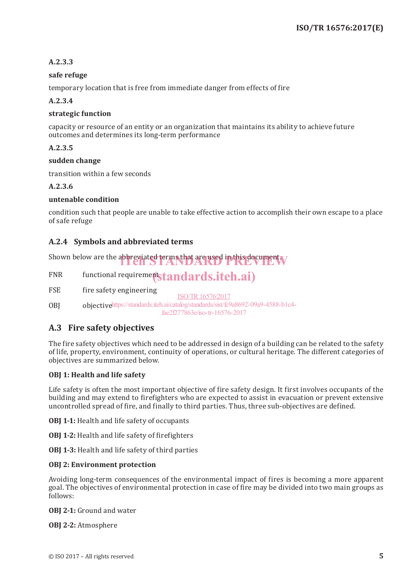# **A.2.3.3**

# **safe refuge**

temporary location that is free from immediate danger from effects of fire

### **A.2.3.4**

## **strategic function**

capacity or resource of an entity or an organization that maintains its ability to achieve future outcomes and determines its long-term performance

## **A.2.3.5**

## **sudden change**

transition within a few seconds

## **A.2.3.6**

## **untenable condition**

condition such that people are unable to take effective action to accomplish their own escape to a place of safe refuge

# **A.2.4 Symbols and abbreviated terms**

Shown below are the abbreviated terms that are used in this document.

# FNR functional requirement standards.itch.ai)

FSE fire safety engineering

OBJ objectivehttps://standards.iteh.ai/catalog/standards/sist/fc9a8692-09a9-4588-b1c4-ISO/TR16576:2017 fae2f277863e/iso-tr-16576-2017

# **A.3 Fire safety objectives**

The fire safety objectives which need to be addressed in design of a building can be related to the safety of life, property, environment, continuity of operations, or cultural heritage. The different categories of objectives are summarized below.

# **OBJ 1: Health and life safety**

Life safety is often the most important objective of fire safety design. It first involves occupants of the building and may extend to firefighters who are expected to assist in evacuation or prevent extensive uncontrolled spread of fire, and finally to third parties. Thus, three sub-objectives are defined.

**OBJ 1-1:** Health and life safety of occupants

**OBJ 1-2:** Health and life safety of firefighters

**OBJ 1-3:** Health and life safety of third parties

#### **OBJ 2: Environment protection**

Avoiding long-term consequences of the environmental impact of fires is becoming a more apparent goal. The objectives of environmental protection in case of fire may be divided into two main groups as follows:

**OBJ 2-1:** Ground and water

**OBJ 2-2:** Atmosphere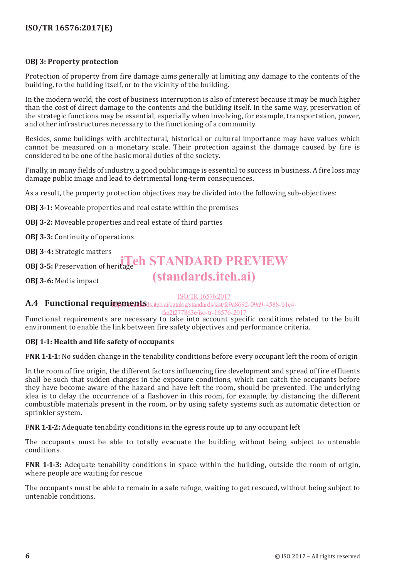# **ISO/TR 16576:2017(E)**

# **OBJ 3: Property protection**

Protection of property from fire damage aims generally at limiting any damage to the contents of the building, to the building itself, or to the vicinity of the building.

In the modern world, the cost of business interruption is also of interest because it may be much higher than the cost of direct damage to the contents and the building itself. In the same way, preservation of the strategic functions may be essential, especially when involving, for example, transportation, power, and other infrastructures necessary to the functioning of a community.

Besides, some buildings with architectural, historical or cultural importance may have values which cannot be measured on a monetary scale. Their protection against the damage caused by fire is considered to be one of the basic moral duties of the society.

Finally, in many fields of industry, a good public image is essential to success in business. A fire loss may damage public image and lead to detrimental long-term consequences.

As a result, the property protection objectives may be divided into the following sub-objectives:

**OBJ 3-1:** Moveable properties and real estate within the premises

**OBJ 3-2:** Moveable properties and real estate of third parties

**OBJ 3-3:** Continuity of operations

**OBJ 3-4:** Strategic matters

OBJ 3-5: Preservation of heritage **b** STANDARD PREVIEW

**OBJ 3-6:** Media impact

ISO/TR16576:2017

(standards.iteh.ai)

A.4 **Functional requirements**ds.iteh.ai/catalog/standards/sist/fc9a8692-09a9-4588-b1c4-

fae2f277863e/iso-tr-16576-2017

Functional requirements are necessary to take into account specific conditions related to the built environment to enable the link between fire safety objectives and performance criteria.

#### **OBJ 1-1: Health and life safety of occupants**

**FNR 1-1-1:** No sudden change in the tenability conditions before every occupant left the room of origin

In the room of fire origin, the different factors influencing fire development and spread of fire effluents shall be such that sudden changes in the exposure conditions, which can catch the occupants before they have become aware of the hazard and have left the room, should be prevented. The underlying idea is to delay the occurrence of a flashover in this room, for example, by distancing the different combustible materials present in the room, or by using safety systems such as automatic detection or sprinkler system.

**FNR 1-1-2:** Adequate tenability conditions in the egress route up to any occupant left

The occupants must be able to totally evacuate the building without being subject to untenable conditions.

**FNR 1-1-3:** Adequate tenability conditions in space within the building, outside the room of origin, where people are waiting for rescue

The occupants must be able to remain in a safe refuge, waiting to get rescued, without being subject to untenable conditions.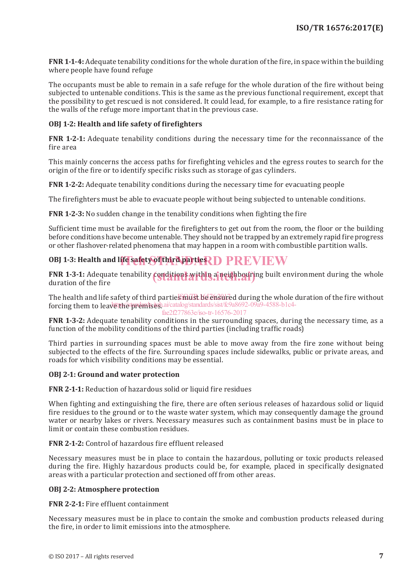**FNR 1-1-4:** Adequate tenability conditions for the whole duration of the fire, in space within the building where people have found refuge

The occupants must be able to remain in a safe refuge for the whole duration of the fire without being subjected to untenable conditions. This is the same as the previous functional requirement, except that the possibility to get rescued is not considered. It could lead, for example, to a fire resistance rating for the walls of the refuge more important that in the previous case.

## **OBJ 1-2: Health and life safety of firefighters**

**FNR 1-2-1:** Adequate tenability conditions during the necessary time for the reconnaissance of the fire area

This mainly concerns the access paths for firefighting vehicles and the egress routes to search for the origin of the fire or to identify specific risks such as storage of gas cylinders.

**FNR 1-2-2:** Adequate tenability conditions during the necessary time for evacuating people

The firefighters must be able to evacuate people without being subjected to untenable conditions.

**FNR 1-2-3:** No sudden change in the tenability conditions when fighting the fire

Sufficient time must be available for the firefighters to get out from the room, the floor or the building before conditions have become untenable. They should not be trapped by an extremely rapid fire progress or other flashover-related phenomena that may happen in a room with combustible partition walls.

# **OBJ 1-3: Health and life safety of third parties ID PREVIEW**

**FNR 1-3-1:** Adequate tenability **conditions within a neighbouring** built environment during the whole<br>duration of the fire duration of the fire

The health and life safety of third parties must be ensured during the whole duration of the fire without forcing them to leave the premises. ai/catalog/standards/sist/fc9a8692-09a9-4588-b1c4-

fae2f277863e/iso-tr-16576-2017

**FNR 1-3-2:** Adequate tenability conditions in the surrounding spaces, during the necessary time, as a function of the mobility conditions of the third parties (including traffic roads)

Third parties in surrounding spaces must be able to move away from the fire zone without being subjected to the effects of the fire. Surrounding spaces include sidewalks, public or private areas, and roads for which visibility conditions may be essential.

## **OBJ 2-1: Ground and water protection**

**FNR 2-1-1:** Reduction of hazardous solid or liquid fire residues

When fighting and extinguishing the fire, there are often serious releases of hazardous solid or liquid fire residues to the ground or to the waste water system, which may consequently damage the ground water or nearby lakes or rivers. Necessary measures such as containment basins must be in place to limit or contain these combustion residues.

#### **FNR 2-1-2:** Control of hazardous fire effluent released

Necessary measures must be in place to contain the hazardous, polluting or toxic products released during the fire. Highly hazardous products could be, for example, placed in specifically designated areas with a particular protection and sectioned off from other areas.

#### **OBJ 2-2: Atmosphere protection**

**FNR 2-2-1:** Fire effluent containment

Necessary measures must be in place to contain the smoke and combustion products released during the fire, in order to limit emissions into the atmosphere.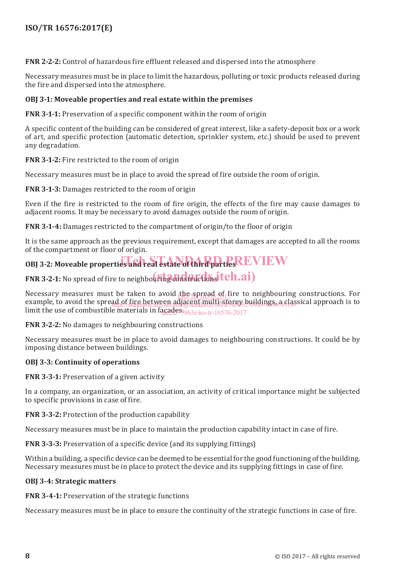**FNR 2-2-2:** Control of hazardous fire effluent released and dispersed into the atmosphere

Necessary measures must be in place to limit the hazardous, polluting or toxic products released during the fire and dispersed into the atmosphere.

## **OBJ 3-1: Moveable properties and real estate within the premises**

**FNR 3-1-1:** Preservation of a specific component within the room of origin

A specific content of the building can be considered of great interest, like a safety-deposit box or a work of art, and specific protection (automatic detection, sprinkler system, etc.) should be used to prevent any degradation.

## **FNR 3-1-2:** Fire restricted to the room of origin

Necessary measures must be in place to avoid the spread of fire outside the room of origin.

**FNR 3-1-3:** Damages restricted to the room of origin

Even if the fire is restricted to the room of fire origin, the effects of the fire may cause damages to adjacent rooms. It may be necessary to avoid damages outside the room of origin.

**FNR 3-1-4:** Damages restricted to the compartment of origin/to the floor of origin

It is the same approach as the previous requirement, except that damages are accepted to all the rooms of the compartment or floor of origin.

# OBJ 3-2: Moveable properties and real estate of third parties **REVIEW**

FNR 3-2-1: No spread of fire to neighbouring constructions **teh.ai**)

Necessary measures must be taken to avoid  $\frac{1}{150}$  spread of fire to neighbouring constructions. For example, to avoid the spread of fire between adjacent multi-storey buildings, a classical approach is to limit the use of combustible materials in facades<sub>7863e/iso-tr-16576-2017</sub>

**FNR 3-2-2:** No damages to neighbouring constructions

Necessary measures must be in place to avoid damages to neighbouring constructions. It could be by imposing distance between buildings.

# **OBJ 3-3: Continuity of operations**

**FNR 3-3-1:** Preservation of a given activity

In a company, an organization, or an association, an activity of critical importance might be subjected to specific provisions in case of fire.

**FNR 3-3-2:** Protection of the production capability

Necessary measures must be in place to maintain the production capability intact in case of fire.

**FNR 3-3-3:** Preservation of a specific device (and its supplying fittings)

Within a building, a specific device can be deemed to be essential for the good functioning of the building. Necessary measures must be in place to protect the device and its supplying fittings in case of fire.

#### **OBJ 3-4: Strategic matters**

**FNR 3-4-1:** Preservation of the strategic functions

Necessary measures must be in place to ensure the continuity of the strategic functions in case of fire.